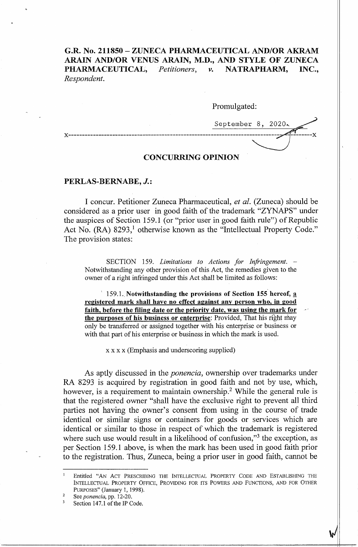# **G.R. No. 211850** - **ZUNECA PHARMACEUTICAL AND/OR AKRAM ARAIN AND/OR VENUS ARAIN, M.D., AND STYLE OF ZUNECA PHARMACEUTICAL,** *Petitioners, v.* **NATRAPHARM, INC.,**  *Respondent.*

## Promulgated:

| September 8, $2020^$ |  |
|----------------------|--|
|                      |  |
|                      |  |

# **CONCURRING OPINION**

## **PERLAS-BERNABE, J.:**

I concur. Petitioner Zuneca Pharmaceutical, *et al.* (Zuneca) should be considered as a prior user in good faith of the trademark "ZYNAPS" under the auspices of Section 159.1 (or "prior user in good faith rule") of Republic Act No. (RA) 8293,<sup>1</sup> otherwise known as the "Intellectual Property Code." The provision states:

SECTION 159. *Limitations to Actions for Infringement.* -Notwithstanding any other provision of this Act, the remedies given to the owner of a right infringed under this Act shall be limited as follows:

<sup>1</sup> 159.1. Notwithstanding the provisions of Section 155 hereof, a **registered mark shall have no effect against any person who, in good.**  faith, before the filing date or the priority date, was using the mark for **the purposes of his business or enterprise**: Provided, That his right may only be transferred or assigned together with his enterprise or business or with that part of his enterprise or business in which the mark is used.

x x x x (Emphasis and underscoring supplied)

As aptly discussed in the *ponencia,* ownership over trademarks under RA 8293 is acquired by registration in good faith and not by use, which, however, is a requirement to maintain ownership.<sup>2</sup> While the general rule is that the registered owner "shall have the exclusive right to prevent all third parties not having the owner's consent from using in the course of trade identical or similar signs or containers for goods or services which are identical or similar to those in respect of which the trademark is registered where such use would result in a likelihood of confusion,"<sup>3</sup> the exception, as per Section 159.1 above, is when the mark has been used in good faith prior to the registration. Thus, Zuneca, being a prior user in good faith, cannot be

Entitled "AN ACT PRESCRIBING THE INTELLECTUAL PROPERTY CODE AND ESTABLISHING THE INTELLECTUAL PROPERTY OFFICE, PROVIDING FOR ITS POWERS AND FUNCTIONS, AND FOR OTHER PURPOSES" (January 1, 1998).

<sup>2</sup>  See *ponencia,* pp. 12-20.

<sup>3</sup>  Section 147.1 of the IP Code.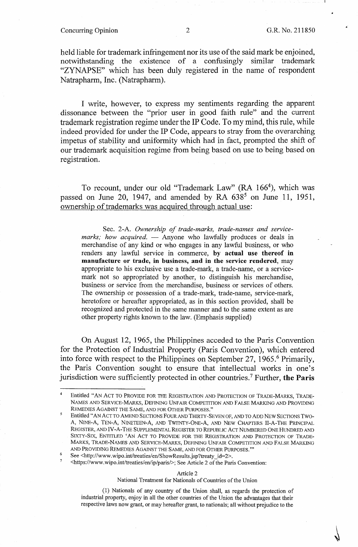## Concurring Opinion 2 G.R. No. 211850

held liable for trademark infringement nor its use of the said mark be enjoined, notwithstanding the existence of a confusingly similar trademark "ZYNAPSE" which has been duly registered in the name of respondent Natrapharm, Inc. (Natrapharm).

I write, however, to express my sentiments regarding the apparent dissonance between the "prior user in good faith rule" and the current trademark registration regime under the IP Code. To my mind, this rule, while indeed provided for under the IP Code, appears to stray from the overarching impetus of stability and uniformity which had in fact, prompted the shift of our trademark acquisition regime from being based on use to being based on registration.

To recount, under our old "Trademark Law" (RA 166<sup>4</sup>), which was passed on June 20, 1947, and amended by RA  $638<sup>5</sup>$  on June 11, 1951, ownership of trademarks was acquired through actual use:

Sec. 2-A. *Ownership of trade-marks, trade-names and servicemarks; how acquired.* — Anyone who lawfully produces or deals in merchandise of any kind or who engages in any lawful business, or who renders any lawful service in commerce, **by actual use thereof in manufacture or trade, in business, and in the service rendered,** may appropriate to his exclusive use a trade-mark, a trade-name, or a servicemark not so appropriated by another, to distinguish his merchandise, business or service from the merchandise, business or services of others. The ownership or possession of a trade-mark, trade-name, service-mark, heretofore or hereafter appropriated, as in this section provided, shall be recognized and protected in the same manner and to the same extent as are other property rights known to the law. (Emphasis supplied)

On August 12, 1965, the Philippines acceded to the Paris Convention for the Protection of Industrial Property (Paris Convention), which entered into force with respect to the Philippines on September 27, 1965.<sup>6</sup> Primarily, the Paris Convention sought to ensure that intellectual works in one's jurisdiction were sufficiently protected in other countries. <sup>7</sup>Further, **the Paris** 

### Article 2

### National Treatment for Nationals of Countries of the Union

(1) Nationals of any country of the Union shall, as regards the protection of industrial property, enjoy in all the other countries of the Union the advantages that their respective laws now grant, or may hereafter grant, to nationals; all without prejudice to the

<sup>4</sup>Entitled "AN ACT TO PROVIDE FOR THE REGISTRATION AND PROTECTION OF TRADE-MARKS, TRADE-NAMES AND SERVICE-MARKS, DEFINING UNFAIR COMPETITION AND FALSE MARKING AND PROVIDING REMEDIES AGAINST THE SAME, AND FOR OTHER PURPOSES."

Entitled "AN ACT TO AMEND SECTIONS FOUR AND THIRTY-SEVEN OF, AND TO ADD NEW SECTIONS TWO-A, NINE-A, TEN-A, NINETEEN-A, AND TWENTY-ONE-A, AND NEW CHAPTERS II-A-THE PRINCIPAL REGISTER, AND IV-A-THE SUPPLEMENTAL REGISTER TO REPUBLIC ACT NUMBERED ONE HUNDRED AND SIXTY-SIX, ENTITLED 'AN ACT TO PROVIDE FOR THE REGISTRATION AND PROTECTION OF TRADE-MARKS, TRADE-NAMES AND SERVICE-MARKS, DEFINING UNFAIR COMPETITION AND FALSE MARKING AND PROVIDING REMEDIES AGAINST THE SAME, AND FOR OTHER PURPOSES."'

See <http://www.wipo.int/treaties/en/ShowResults.jsp?treaty id=2>.

<sup>&</sup>lt;https://www.wipo.int/treaties/en/ip/paris/>; See Article 2 of the Paris Convention: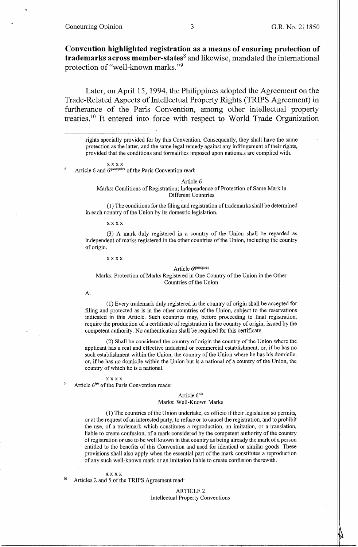**Convention highlighted registration as a means of ensuring protection of trademarks across member-states<sup>8</sup>**and likewise, mandated the international protection of "well-known marks."<sup>9</sup>

Later, on April 15, 1994, the Philippines adopted the Agreement on the Trade-Related Aspects of Intellectual Property Rights (TRIPS Agreement) in furtherance of the Paris Convention, among other intellectual property treaties.<sup>10</sup> It entered into force with respect to World Trade Organization

xxxx 8 Article 6 and *6quinquies* of the Paris Convention read:

Article 6

Marks: Conditions of Registration; Independence of Protection of Same Mark in Different Countries

(1) The conditions for the filing and registration of trademarks shall be determined in each country of the Union by its domestic legislation.

xxxx

(3) A mark duly registered in a country of the Union shall be regarded as independent of marks registered in the other countries of the Union, including the country of origin.

xxxx

# Article 6quinquies

Marks: Protection of Marks Registered in One Country of the Union in the Other Countries of the Union

A.

(1) Every trademark duly registered in the country of origin shall be accepted for filing and protected as is in the other countries of the Union, subject to the reservations indicated in this Article. Such countries may, before proceeding to final registration, require the production of a certificate of registration in the country of origin, issued by the competent authority. No authentication shall be required for this certificate.

(2) Shall be considered the country of origin the country of the Union where the applicant has a real and effective industrial or commercial establishment, or, if he has no such establishment within the Union, the country of the Union where he has his domicile, or, if he has no domicile within the Union but is a national of a country of the Union, the country of which he is a national.

### xxxx

<sup>9</sup> Article 6<sup>bis</sup> of the Paris Convention reads:

### Article 6bis

### Marks: Well-Known Marks

(1) The countries of the Union undertake, ex officio if their legislation so permits, or at the request of an interested party, to refuse or to cancel the registration, and to prohibit the use, of a trademark which constitutes a reproduction, an imitation, or a translation, liable to create confusion, of a mark considered by the competent authority of the country of registration or use to be well known in that country as being already the mark of a person entitled to the benefits of this Convention and used for identical or similar goods. These provisions shall also apply when the essential part of the mark constitutes a reproduction of any such well-known mark or an imitation liable to create confusion therewith.

#### **xxxx**

Articles 2 and 5 of the TRIPS Agreement read:

**ARTICLE 2** Intellectual Property Conventions

rights specially provided for by this Convention. Consequently, they shall have the same protection as the latter, and the same legal remedy against any infringement of their rights, provided that the conditions and formalities imposed upon nationals are complied with.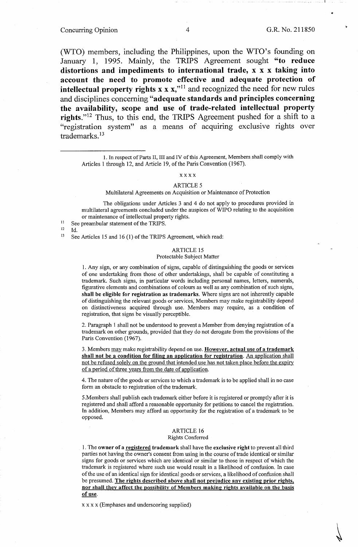## Concurring Opinion 4 G.R. No. 211850

•

(WTO) members, including the Philippines, upon the WTO's founding on January 1, 1995. Mainly, the TRIPS Agreement sought **"to reduce distortions and impediments to international trade, x x x taking into account the need to promote effective and adequate protection of intellectual property rights**  $x x x''$ **<sup>11</sup>** and recognized the need for new rules and disciplines concerning **"adequate standards and principles concerning the availability, scope and use of trade-related intellectual property rights.**"<sup>12</sup> Thus, to this end, the TRIPS Agreement pushed for a shift to a "registration system" as a means of acquiring exclusive rights over trademarks. 13

1. In respect of Parts II, III and IV of this Agreement, Members shall comply with Articles 1 through 12, and Article 19, of the Paris Convention (1967).

### xxxx

### **ARTICLE 5**

## Multilateral Agreements on Acquisition or Maintenance of Protection

The obligations under Articles 3 and 4 do not apply to procedures provided in multilateral agreements concluded under the auspices of WIPO relating to the acquisition or maintenance of intellectual property rights.<br>
<sup>11</sup> See preambular statement of the TRIPS.<br>
<sup>12</sup> L4

- 
- Id.

<sup>13</sup> See Articles 15 and 16 (1) of the TRIPS Agreement, which read:

### ARTICLE 15 Protectable Subject Matter

1. Any sign, or any combination of signs, capable of distinguishing the goods or services of one undertaking from those of other undertakings, shall be capable of constituting a trademark. Such signs, in particular words including personal names, letters, numerals, figurative elements and combinations of colours as well as any combination of such signs, **shall be eligible for registration as trademarks.** Where signs are not inherently capable of distinguishing the relevant goods or services, Members may make registrability depend on distinctiveness acquired through use. Members may require, as a condition of registration, that signs be visually perceptible.

2. Paragraph 1 shall not be understood to prevent a Member from denying registration of a trademark on other grounds, provided that they do not derogate from the provisions of the Paris Convention (1967).

3. Members may make registrability depend on use. **However, actual use of a trademark shall not be a condition for filing an application for registration.** An application shall not be refused solely on the ground that intended use has not taken place before the expiry of a period of three years from the date of application.

4. The nature of the goods or services to which a trademark is to be applied shall in no case form an obstacle to registration of the trademark.

5.Members shall publish each trademark either before it is registered or promptly after it is registered and shall afford a reasonable opportunity for petitions to cancel the registration. In addition, Members may afford an opportunity for the registration of a trademark to be opposed.

# ARTICLE 16

Rights Conferred

1. The **owner of a registered trademark** shall have the **exclusive right** to prevent all third parties not having the owner's consent from using in the course of trade identical or similar signs for goods or services which are identical or similar to those in respect of which the trademark is registered where such use would result in a likelihood of confusion. In case of the use of an identical sign for identical goods or services, a likelihood of confusion shall be presumed. **The rights described above shall not prejudice any existing prior rights, nor shall they affect the possibility of Members making rights available on the basis of use.** 

xx x x (Emphases and underscoring supplied)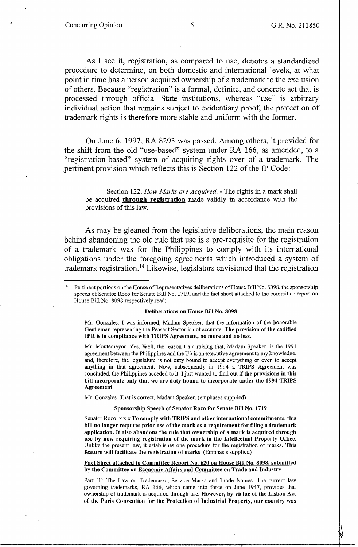As I see it, registration, as compared to use, denotes a standardized procedure to determine, on both domestic and international levels, at what point in time has a person acquired ownership of a trademark to the exclusion of others. Because "registration" is a formal, definite, and concrete act that is processed through official State institutions, whereas "use" is arbitrary individual action that remains subject to evidentiary proof, the protection of trademark rights is therefore more stable and uniform with the former.

On June 6, 1997, RA 8293 was passed. Among others, it provided for the shift from the old "use-based" system under RA 166, as amended, to a "registration-based" system of acquiring rights over of a trademark. The .pertinent provision which reflects this is Section 122 of the IP Code:

Section 122. *How Marks are Acquired.* - The rights in a mark shall be acquired **through registration** made validly in accordance with the provisions of this law.

As may be gleaned from the legislative deliberations, the main reason behind abandoning the old rule that use is a pre-requisite for the registration of a trademark was for the Philippines to comply with its international obligations under the foregoing agreements which introduced a system of trademark registration. 14 Likewise, legislators envisioned that the registration

## **Deliberations on House Bill No. 8098**

Mr. Gonzales. I was informed, Madam Speaker, that the information of the honorable Gentleman representing the Peasant Sector is not accmate. **The provision of the codified IPR is in compliance with TRIPS Agreement, no more and no less.** 

Mr. Montemayor. Yes. Well, the reason I am raising that, Madam Speaker, is the 1991 agreement between the Philippines and the US is an executive agreement to my knowledge, and, therefore, the legislatme is not duty bound to accept everything or even to accept anything in that agreement. Now, subsequently in 1994 a TRIPS Agreement was concluded, the Philippines acceded to it. I just wanted to find out if **the provisions in this bill incorporate only that we are duty bound to incorporate under the 1994 TRIPS Agreement.** 

Mr. Gonzales. That is correct, Madam Speaker. (emphases supplied)

### **Sponsorship Speech of Senator Roco for Senate Bill No. 1719**

Senator Roco. xx x **To comply with TRIPS and other international commitments, this bill no longer requires prior use of the mark as a requirement for filing a trademark application.** It **also abandons the rule that ownership of a mark is acquired through use by now requiring registration of the mark in the Intellectual Property Office.**  Unlike the present law, it establishes one procedme for the registration of marks. **This feature will facilitate the registration of marks.** (Emphasis supplied)

**Fact Sheet attached to Committee Report No. 620 on House Bill No. 8098, submitted by the Committee on Economic Affairs and Committee on Trade and Industry** 

Part III: The Law on Trademarks, Service Marks and Trade Names. The current law governing trademarks, RA 166, which came into force on June 1947, provides that ownership of trademark is acquired through use. **However, by virtue of the Lisbon Act of the Paris Convention for the Protection of Industrial Property, our country was** 

<sup>&</sup>lt;sup>14</sup> Pertinent portions on the House of Representatives deliberations of House Bill No. 8098, the sponsorship speech of Senator Roco for Senate Bill No. 1719, and the fact sheet attached to the committee report on House Bill No. 8098 respectively read: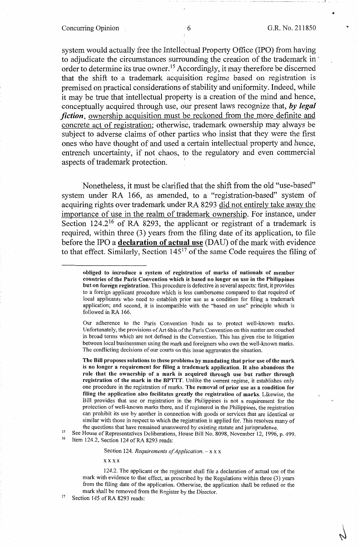## Concurring Opinion 6 G.R. No. 211850

- "

•

system would actually free the Intellectual Property Office (IPO) from having to adjudicate the circumstances surrounding the creation of the trademark in · order to determine its true owner.<sup>15</sup> Accordingly, it may therefore be discerned that the shift to a trademark acquisition regime based on registration is premised on practical considerations 0f stability and uniformity. Indeed, while it may be true that intellectual property is a creation of the mind and hence, conceptually acquired through use, our present laws recognize that, *by legal fiction*, ownership acquisition must be reckoned from the more definite and concrete act of registration; otherwise, trademark ownership may always be subject to adverse claims of other parties who insist that they were the first ones who have thought of and used a certain intellectual property and hence, entrench uncertainty, if not chaos, *to* the regulatory and even commercial aspects of trademark protection. <sup>1</sup>

Nonetheless, it must be clarified that the shift from the old "use-based" system under RA 166, as amended, to a "registration-based" system of acquiring rights over trademark under RA 8293 did not entirely take away the importance of use in the realm of trademark ownership. For instance, under Section  $124.2^{16}$  of RA 8293, the applicant or registrant of a trademark is required, within three (3) years from the filing date of its application, to file before the IPO a **declaration of actual use** (DAU) of the mark with evidence to that effect. Similarly, Section  $145^{17}$  of the same Code requires the filing of

Our adherence to the Paris Convention binds us to protect well-known marks. Unfortunately, the provisions of Art 6bis of the Paris Convention on this matter are couched in broad terms which are not defined in the Convention. This has given rise to litigation between local businessmen using the mark and foreigners who own the well-known marks. The conflicting decisions of our courts on this issue aggravates the situation.

**The Bill proposes solutions to these problems by mandating that prior use of the mark is no longer a requirement for filing a trademark application.** It **also abandons the rule that the ownership of a mark is acquired through use but rather through registration of the mark in the BPTTT.** Unlike the current regime, it establishes only one procedure in the registration of marks. **The removal of prior use as a condition for filing the application also facilitates greatly the registration of marks.** Likewise, the Bill provides that use or registration in the Philippines is not a requirement for the protection of well-known marks there, and if registered in the Philippines, the registration can prohibit its use by another in connection with goods or services that are identical or similar with those in respect to which the registration is applied for. This resolves many of the questions that have remained unanswered by existing statute and jurisprudence.

the Guestions of Representatives Deliberations, House Bill No. 8098, November 12, 1996, p. 499.<br><sup>16</sup> Item 124.2, Section 124 of RA 8293 reads:

Section 124. *Requirements of Application.* – x x x

xxxx

124.2. The applicant or the registrant shall file a declaration of actual use of the mark with evidence to that effect, as prescribed by the Regulations within three (3) years from the filing date of the application. Otherwise, the application shall be refused or the mark shall be removed from the Register by the Director.

<sup>17</sup> Section 145 of RA 8293 reads:

**obliged to introduce a system of registration of marks of nationals of member countries of the Paris Convention which is based no longer on use in the Philippines but on foreign registration.** This procedure is defective in several aspects: first, it provides to a foreign applicant procedure which is less cumbersome compared to that required of local applicants who need to establish prior use as a condition for filing a trademark application; and second, it is incompatible with the "based on use" principle which is followed in RA 166.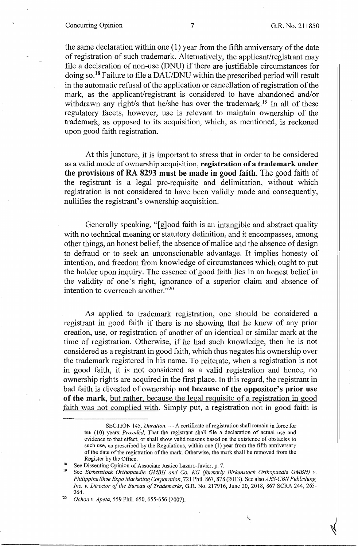## Concurring Opinion 7 G.R. No. 211850

the same declaration within one (1) year from the fifth anniversary of the date of registration of such trademark. Alternatively, the applicant/registrant may file a declaration of non-use (DNU) if there are justifiable circumstances for doing so. 18 Failure to file a DAU/DNU within the prescribed period will result in the automatic refusal of the application or cancellation of registration of the mark, as the applicant/registrant is considered to have abandoned and/or withdrawn any right/s that he/she has over the trademark.<sup>19</sup> In all of these regulatory facets, however, use is relevant to maintain ownership of the trademark, as opposed to its acquisition, which, as mentioned, is reckoned upon good faith registration.

At this juncture, it is important to stress that in order to be considered as a valid mode of ownership acquisition, **registration of a trademark under the provisions of RA 8293 must be made in good faith.** The good faith of the registrant is a legal pre-requisite and delimitation, without which registration is not considered to have been validly made and consequently, nullifies the registrant's ownership acquisition.

Generally speaking, "[g]ood faith is an intangible and abstract quality with no technical meaning or statutory definition, and it encompasses, among other things, an honest belief, the absence of malice and the absence of design to defraud or to seek an unconscionable advantage. It implies honesty of intention, and freedom from knowledge of circumstances which ought to put the holder upon inquiry. The essence of good faith lies in an honest belief in the validity of one's right, ignorance of a superior claim and absence of intention to overreach another."<sup>20</sup>

As applied to trademark registration, one should be considered a registrant in good faith if there is no showing that he knew of any prior creation, use, or registration of another of an identical or similar mark at the time of registration. Otherwise, if he had such knowledge, then he is not considered as a registrant in good faith, which thus negates his ownership over the trademark registered in his name. To reiterate, when a registration is not in good faith, it is not considered as a valid registration and hence, no ownership rights are acquired in the first place. In this regard, the registrant in bad faith is divested of ownership **not because of the oppositor's prior use of the mark,** but rather, because the legal requisite of a registration in good faith was not complied with. Simply put, a registration not in good faith is

ż,

SECTION 145. *Duration.* - A certificate of registration shall remain in force for ten (10) years: *Provided,* That the registrant shall file a declaration of actual use and evidence to that effect, or shall show valid reasons based on the existence of obstacles to such use, as prescribed by the Regulations, within one (1) year from the fifth anniversary of the date of the registration of the mark. Otherwise, the mark shall be removed from the

Register by the Office. 18 See Dissenting Opinion of Associate Justice Lazaro-Javier, p. 7.<br><sup>19</sup> See *Birkenstock Orthopaedie GMBH and Co. KG (formerly Birkenstock Orthopaedie GMBH) v. Philippine Shoe Expo Marketing Corporation,* 721 Phil. 867, 878 (2013). See also *ABS-CBN Publishing, Inc. v. Director of the Bureau of Trademarks,* G.R. No. 217916, June 20, 2018, 867 SCRA 244, 263- 264. 20 *Ochoa v. Apeta,* 559 Phil. 650, 655-656 (2007).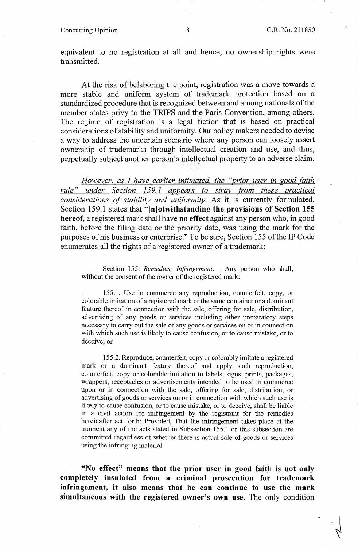## Concurring Opinion 8 G.R. No. 211850

equivalent to no registration at all and hence, no ownership rights were transmitted.

At the risk of belaboring the point, registration was a move towards a more stable and uniform system of trademark protection based on a standardized procedure that is recognized between and among nationals of the member states privy to the TRIPS and the Paris Convention, among others. The regime of registration is a legal fiction that is based on practical considerations of stability and uniformity. Our policy makers needed to devise a way to address the uncertain scenario where any person can loosely assert ownership of trademarks through intellectual creation and use, and thus, perpetually subject another person's intellectual property to an adverse claim.

*However, as I have earlier intimated, the "prior user in good faith* ·• *rule" under Section 159.1 appears to stray from these practical considerations of stability and uniformity.* As it is currently formulated, Section 159.1 states that **"[n]otwithstanding the provisions of Section 155 hereof,** a registered mark shall have **no effect** against any person who, in good faith, before the filing date or the priority date, was using the mark for the purposes of his business or enterprise." To be sure, Section 155 of the IP Code enumerates all the rights of a registered owner of a trademark:

Section 155. *Remedies; Infringement*. - Any person who shall, without the consent of the owner of the registered mark:

155.1. Use in commerce any reproduction, counterfeit, copy, or colorable imitation of a registered mark or the same container or a dominant feature thereof in connection with the sale, offering for sale, distribution, advertising of any goods or services including other preparatory steps necessary to carry out the sale of any goods or services on or in connection with which such use is likely to cause confusion, or to cause mistake, or to deceive; or

155 .2. Reproduce, counterfeit, copy or colorably imitate a registered mark or a dominant feature thereof and apply such reproduction, counterfeit, copy or colorable imitation to labels, signs, prints, packages, wrappers, receptacles or advertisements intended to be used in commerce upon or in connection with the sale, offering for sale, distribution, or advertising of goods or services on or in connection with which such use is likely to cause confusion, or to cause mistake, or to deceive, shall be liable in a civil action for infringement by the registrant for the remedies hereinafter set forth: Provided, That the infringement takes place at the moment any of the acts stated in Subsection 155.1 or this subsection are committed regardless of whether there is actual sale of goods or services using the infringing material.

**"No effect" means that the prior user in good faith is not only completely insulated from a criminal prosecution for trademark infringement, it also means that he can continue to use the mark simultaneous with the registered owner's own use.** The only condition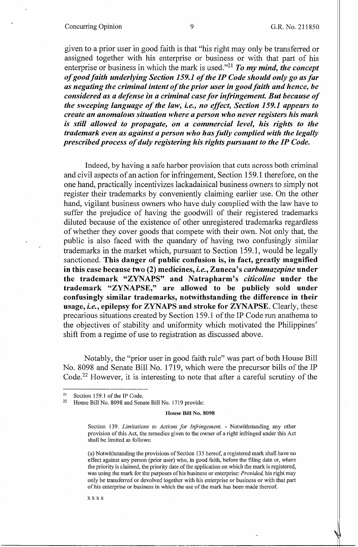## Concurring Opinion 9 G.R. No. 211850

given to a prior user in good faith is that "his right may only be transferred or assigned together with his enterprise or business or with that part of his enterprise or business in which the mark is used."21 *To my mind, the concept of good faith underlying Section 159.1 of the IP Code should only go as far as negating the criminal intent of the prior user in good faith and hence, be considered as a defense in a criminal case for infringement. But because of the sweeping language of the law, i.e., no effect, Section 159.1 appears to create an anomalous situation where a person who never registers his mark is still allowed to propagate, on a commercial level, his rights to the trademark even as against a person who has fully complied with the legally prescribed process of duly registering his rights pursuant to the IP Code.* 

Indeed, by having a safe harbor provision that cuts across both criminal and civil aspects of an action for infringement, Section 159.1 therefore, on the one hand, practically incentivizes lackadaisical business owners to simply not register their trademarks by conveniently claiming earlier use. On the other hand, vigilant business owners who have duly complied with the law have to suffer the prejudice of having the goodwill of their registered trademarks diluted because of the existence of other unregistered trademarks regardless of whether they cover goods that compete with their own. Not only that, the public is also faced with the quandary of having two confusingly similar trademarks in the market which, pursuant to Section 159.1, would be legally sanctioned. **This danger of public confusion is, in fact, greatly magnified in this case because two (2) medicines,** *i.e.,* **Zuneca's** *carbamazepine* **under the trademark "ZYNAPS" and Natrapharm's** *citicoline* **under the trademark "ZYNAPSE," are allowed to be publicly sold under confusingly similar trademarks, notwithstanding the difference in their usage,** *i.e.,* **epilepsy for ZYNAPS and stroke for ZYNAPSE.** Clearly, these precarious situations created by Section 159 .1 of the IP Code run anathema to the objectives of stability and uniformity which motivated the Philippines' shift from a regime of use to registration as discussed above.

Notably, the "prior user in good faith rule" was part of both House Bill No. 8098 and Senate Bill No. 1719, which were the precursor bills of the IP Code.<sup>22</sup> However, it is interesting to note that after a careful scrutiny of the

<sup>21</sup> Section 159.1 of the IP Code.<br><sup>22</sup> House Bill No. 8098 and Senate Bill No. 1719 provide:

### **House Bill No. 8098**

Section 139. *Limitations to Actions for Infringement.* - Notwithstanding any other provision of this Act, the remedies given to the owner of a right infringed under this Act shall be limited as follows:

(a) Notwithstanding the provisions of Section 135 hereof, a registered mark shall have no effect against any person (prior user) who, in good faith, before the filing date or, where the priority is claimed, the priority date of the application on which the mark is registered, was using the mark for the purposes of his business or enterprise: *Provided,* his right may only be transferred or devolved together with his enterprise or business or with that part of his enterprise or business in which the use of the mark has been made thereof.

xxxx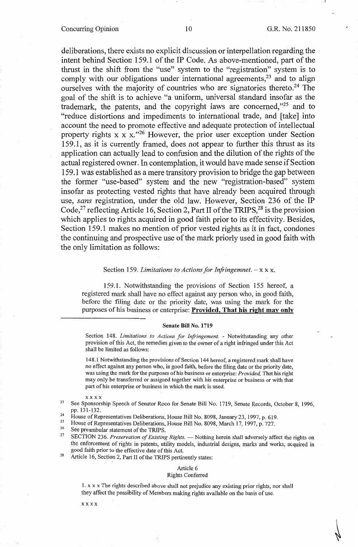## Concurring Opinion 10 G.R. No. 211850

deliberations, there exists no explicit discussion or interpellation regarding the intent behind Section 159.1 of the IP Code. As above-mentioned, part of the thrust in the shift from the "use" system to the "registration" system is to comply with our obligations under international agreements, $23$  and to align ourselves with the majority of countries who are signatories thereto.<sup>24</sup> The goal of the shift is to achieve "a uniform, universal standard insofar as the trademark, the patents, and the copyright laws are concemed,"25 and to "reduce distortions and impediments to international trade, and [take] into account the need to promote effective and adequate protection of intellectual property rights x x  $x$ .<sup>26</sup> However, the prior user exception under Section 159.1, as it is currently framed, does not appear to further this thrust as its application can actually lead to confusion and the dilution of the rights of the actual registered owner. In contemplation, it would have made sense if Section 159 .1 was established as a mere transitory provision to bridge the gap between the former "use-based" system and the· new "registration-based" system insofar as protecting vested rights that have already been acquired through use, *sans* registration, under the old law. However, Section 236 of the IP Code, 27 reflecting Article 16, Section 2, Part II of the **TRIPS,** 28 is the provision which applies to rights acquired in good faith prior to its effectivity. Besides, Section 159.1 makes no mention of prior vested rights as it in fact, condones the continuing and prospective use of the mark priorly used in good faith with the only limitation as follows:

# Section 159. *Limitations to Actions for Infringemnet*.  $-x x x$ .

159.1. Notwithstanding the provisions of Section 155 hereof, a registered mark shall have no effect against any person who, in good faith, before the filing date or the priority date, was using the mark for the purposes of his business or enterprise: **Provided, That his right may only** 

### **Senate Bill No. 1719**

Section 148. *Limitations to Actions for Infringement.* - Notwithstanding any other provision of this Act, the remedies given to the owner of a right infringed under this Act shall be limited as follows:

148 .1 Notwithstanding the provisions of Section 144 hereof, a registered mark shall have no effect against any person who, in good faith, before the filing date or the priority date, was using the mark for the purposes of his business or enterprise: *Provided,* That his right may only be transferred or assigned together with his enterprise or business or with that part of his enterprise or business in which the mark is used.

- xxxx 23 See Sponsorship Speech of Senator Roco for Senate Bill No. 1719, Senate Records, October 8, 1996, pp. 131-132.<br>
House of Representatives Deliberations, House Bill No. 8098, January 23, 1997, p. 619.<br>
House of Representatives Deliberations, House Bill No. 8098, March 17, 1997, p. 727.<br>
See preambular statement of the TR
- 
- 
- 
- the enforcement of rights in patents, utility models, industrial designs, marks and works, acquired in
- <sup>28</sup> Article 16, Section 2, Part II of the TRIPS pertinently states:

## Article 6

### Rights Conferred

1. x x x The rights described above shall not prejudice any existing prior rights, nor shall they affect the possibility of Members making rights available on the basis of use.

xxxx